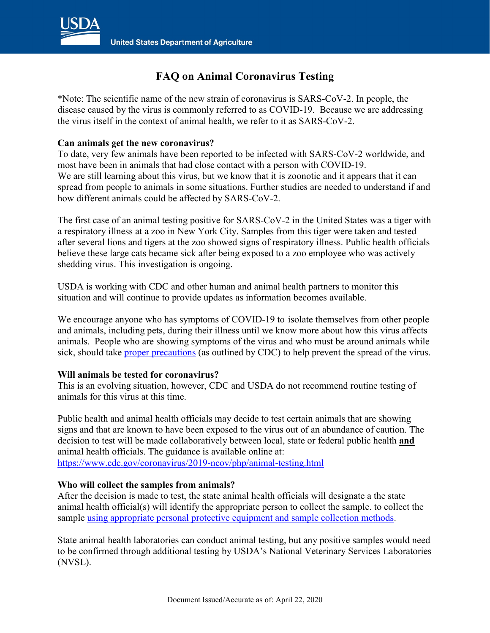

# **FAQ on Animal Coronavirus Testing**

\*Note: The scientific name of the new strain of coronavirus is SARS-CoV-2. In people, the disease caused by the virus is commonly referred to as COVID-19. Because we are addressing the virus itself in the context of animal health, we refer to it as SARS-CoV-2.

### **Can animals get the new coronavirus?**

To date, very few animals have been reported to be infected with SARS-CoV-2 worldwide, and most have been in animals that had close contact with a person with COVID-19. We are still learning about this virus, but we know that it is zoonotic and it appears that it can spread from people to animals in some situations. Further studies are needed to understand if and how different animals could be affected by SARS-CoV-2.

The first case of an animal testing positive for SARS-CoV-2 in the United States was a tiger with a respiratory illness at a zoo in New York City. Samples from this tiger were taken and tested after several lions and tigers at the zoo showed signs of respiratory illness. Public health officials believe these large cats became sick after being exposed to a zoo employee who was actively shedding virus. This investigation is ongoing.

USDA is working with CDC and other human and animal health partners to monitor this situation and will continue to provide updates as information becomes available.

We encourage anyone who has symptoms of COVID-19 to isolate themselves from other people and animals, including pets, during their illness until we know more about how this virus affects animals. People who are showing symptoms of the virus and who must be around animals while sick, should take [proper precautions](https://www.cdc.gov/coronavirus/2019-ncov/daily-life-coping/animals.html) (as outlined by CDC) to help prevent the spread of the virus.

# **Will animals be tested for coronavirus?**

This is an evolving situation, however, CDC and USDA do not recommend routine testing of animals for this virus at this time.

Public health and animal health officials may decide to test certain animals that are showing signs and that are known to have been exposed to the virus out of an abundance of caution. The decision to test will be made collaboratively between local, state or federal public health **and** animal health officials. The guidance is available online at: [https://www.cdc.gov/coronavirus/2019-ncov/php/animal-testing.html](https://gcc02.safelinks.protection.outlook.com/?url=https%3A%2F%2Fwww.cdc.gov%2Fcoronavirus%2F2019-ncov%2Fphp%2Fanimal-testing.html&data=02%7C01%7C%7C46e04c2049ae4dba147008d7e197c297%7Ced5b36e701ee4ebc867ee03cfa0d4697%7C0%7C0%7C637225914230873281&sdata=Uus21CHiSb14hHA7E6i3B64n7xPTMYPafVjF1EYKFRM%3D&reserved=0)

# **Who will collect the samples from animals?**

After the decision is made to test, the state animal health officials will designate a the state animal health official(s) will identify the appropriate person to collect the sample. to collect the sample [using appropriate personal protective equipment and sample collection methods.](https://gcc02.safelinks.protection.outlook.com/?url=http%3A%2F%2Fwww.usdatraining.com%2Fpowerpoint_docs%2FFADD_Manual_digital.pdf&data=02%7C01%7C%7Ce12cddd654ff4607e41d08d7c54253f0%7Ced5b36e701ee4ebc867ee03cfa0d4697%7C0%7C0%7C637194760982610283&sdata=38jZpXyvglE3Bk%2BvzBaql4GvIvn6B3%2BTet6Fdle1zPM%3D&reserved=0)

State animal health laboratories can conduct animal testing, but any positive samples would need to be confirmed through additional testing by USDA's National Veterinary Services Laboratories (NVSL).